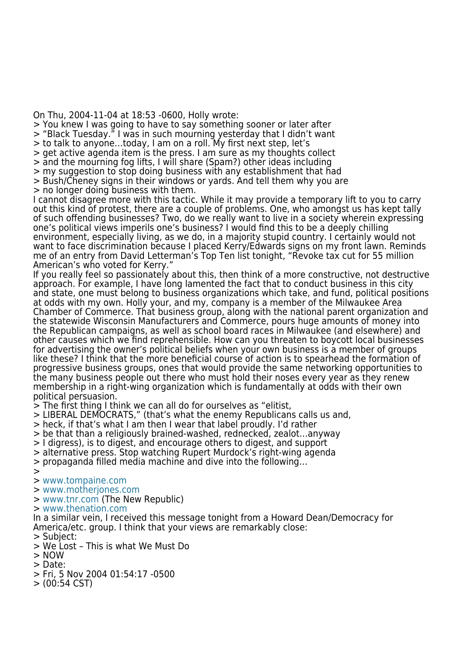On Thu, 2004-11-04 at 18:53 -0600, Holly wrote:

> You knew I was going to have to say something sooner or later after

- > "Black Tuesday." I was in such mourning yesterday that I didn't want
- > to talk to anyone…today, I am on a roll. My first next step, let's
- > get active agenda item is the press. I am sure as my thoughts collect
- > and the mourning fog lifts, I will share (Spam?) other ideas including
- > my suggestion to stop doing business with any establishment that had > Bush/Cheney signs in their windows or yards. And tell them why you are
- > no longer doing business with them.

I cannot disagree more with this tactic. While it may provide a temporary lift to you to carry out this kind of protest, there are a couple of problems. One, who amongst us has kept tally of such offending businesses? Two, do we really want to live in a society wherein expressing one's political views imperils one's business? I would find this to be a deeply chilling environment, especially living, as we do, in a majority stupid country. I certainly would not want to face discrimination because I placed Kerry/Edwards signs on my front lawn. Reminds me of an entry from David Letterman's Top Ten list tonight, "Revoke tax cut for 55 million American's who voted for Kerry."

If you really feel so passionately about this, then think of a more constructive, not destructive approach. For example, I have long lamented the fact that to conduct business in this city and state, one must belong to business organizations which take, and fund, political positions at odds with my own. Holly your, and my, company is a member of the Milwaukee Area Chamber of Commerce. That business group, along with the national parent organization and the statewide Wisconsin Manufacturers and Commerce, pours huge amounts of money into the Republican campaigns, as well as school board races in Milwaukee (and elsewhere) and other causes which we find reprehensible. How can you threaten to boycott local businesses for advertising the owner's political beliefs when your own business is a member of groups like these? I think that the more beneficial course of action is to spearhead the formation of progressive business groups, ones that would provide the same networking opportunities to the many business people out there who must hold their noses every year as they renew membership in a right-wing organization which is fundamentally at odds with their own political persuasion.

> The first thing I think we can all do for ourselves as "elitist,

- > LIBERAL DEMOCRATS," (that's what the enemy Republicans calls us and,
- > heck, if that's what I am then I wear that label proudly. I'd rather
- > be that than a religiously brained-washed, rednecked, zealot…anyway
- > I digress), is to digest, and encourage others to digest, and support
- > alternative press. Stop watching Rupert Murdock's right-wing agenda
- > propaganda filled media machine and dive into the following…
- >
- > [www.tompaine.com](http://www.tompaine.com)
- > [www.motherjones.com](http://www.motherjones.com)
- > [www.tnr.com](http://www.tnr.com) (The New Republic)
- > [www.thenation.com](http://www.thenation.com)

In a similar vein, I received this message tonight from a Howard Dean/Democracy for America/etc. group. I think that your views are remarkably close:

- > Subject:
- > We Lost This is what We Must Do
- > NOW
- > Date:
- > Fri, 5 Nov 2004 01:54:17 -0500
- > (00:54 CST)